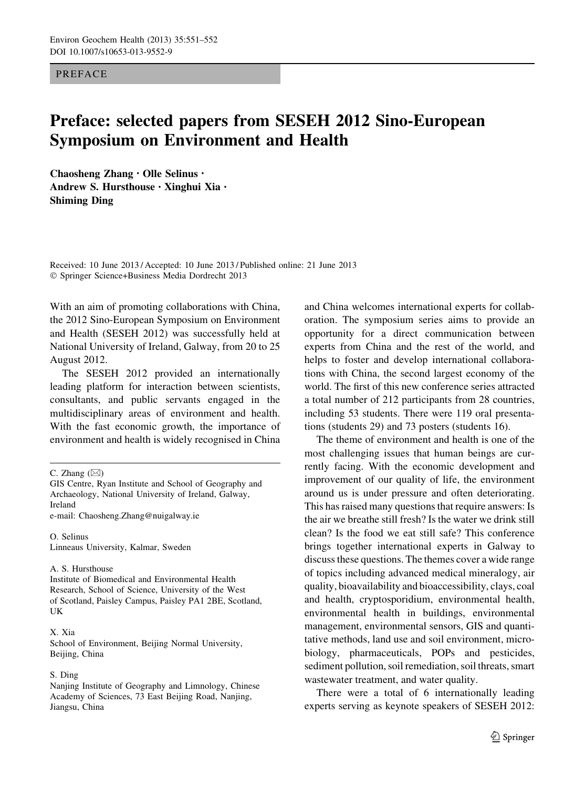# PREFACE

# Preface: selected papers from SESEH 2012 Sino-European Symposium on Environment and Health

Chaosheng Zhang • Olle Selinus • Andrew S. Hursthouse • Xinghui Xia • Shiming Ding

Received: 10 June 2013 / Accepted: 10 June 2013 / Published online: 21 June 2013 - Springer Science+Business Media Dordrecht 2013

With an aim of promoting collaborations with China, the 2012 Sino-European Symposium on Environment and Health (SESEH 2012) was successfully held at National University of Ireland, Galway, from 20 to 25 August 2012.

The SESEH 2012 provided an internationally leading platform for interaction between scientists, consultants, and public servants engaged in the multidisciplinary areas of environment and health. With the fast economic growth, the importance of environment and health is widely recognised in China

GIS Centre, Ryan Institute and School of Geography and Archaeology, National University of Ireland, Galway, Ireland

e-mail: Chaosheng.Zhang@nuigalway.ie

O. Selinus Linneaus University, Kalmar, Sweden

## A. S. Hursthouse

Institute of Biomedical and Environmental Health Research, School of Science, University of the West of Scotland, Paisley Campus, Paisley PA1 2BE, Scotland, UK

### X. Xia

School of Environment, Beijing Normal University, Beijing, China

### S. Ding

Nanjing Institute of Geography and Limnology, Chinese Academy of Sciences, 73 East Beijing Road, Nanjing, Jiangsu, China

and China welcomes international experts for collaboration. The symposium series aims to provide an opportunity for a direct communication between experts from China and the rest of the world, and helps to foster and develop international collaborations with China, the second largest economy of the world. The first of this new conference series attracted a total number of 212 participants from 28 countries, including 53 students. There were 119 oral presentations (students 29) and 73 posters (students 16).

The theme of environment and health is one of the most challenging issues that human beings are currently facing. With the economic development and improvement of our quality of life, the environment around us is under pressure and often deteriorating. This has raised many questions that require answers: Is the air we breathe still fresh? Is the water we drink still clean? Is the food we eat still safe? This conference brings together international experts in Galway to discuss these questions. The themes cover a wide range of topics including advanced medical mineralogy, air quality, bioavailability and bioaccessibility, clays, coal and health, cryptosporidium, environmental health, environmental health in buildings, environmental management, environmental sensors, GIS and quantitative methods, land use and soil environment, microbiology, pharmaceuticals, POPs and pesticides, sediment pollution, soil remediation, soil threats, smart wastewater treatment, and water quality.

There were a total of 6 internationally leading experts serving as keynote speakers of SESEH 2012:

C. Zhang  $(\boxtimes)$